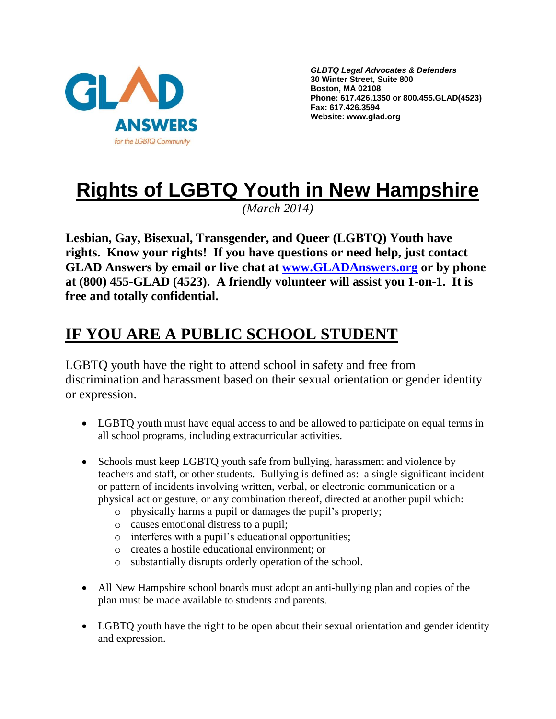

*GLBTQ Legal Advocates & Defenders* **30 Winter Street, Suite 800 Boston, MA 02108 Phone: 617.426.1350 or 800.455.GLAD(4523) Fax: 617.426.3594 Website: www.glad.org**

# **Rights of LGBTQ Youth in New Hampshire**

*(March 2014)*

**Lesbian, Gay, Bisexual, Transgender, and Queer (LGBTQ) Youth have rights. Know your rights! If you have questions or need help, just contact GLAD Answers by email or live chat at [www.GLADAnswers.org](http://www.gladanswers.org/) or by phone at (800) 455-GLAD (4523). A friendly volunteer will assist you 1-on-1. It is free and totally confidential.** 

## **IF YOU ARE A PUBLIC SCHOOL STUDENT**

LGBTQ youth have the right to attend school in safety and free from discrimination and harassment based on their sexual orientation or gender identity or expression.

- LGBTQ youth must have equal access to and be allowed to participate on equal terms in all school programs, including extracurricular activities.
- Schools must keep LGBTQ youth safe from bullying, harassment and violence by teachers and staff, or other students. Bullying is defined as: a single significant incident or pattern of incidents involving written, verbal, or electronic communication or a physical act or gesture, or any combination thereof, directed at another pupil which:
	- o physically harms a pupil or damages the pupil's property;
	- o causes emotional distress to a pupil;
	- o interferes with a pupil's educational opportunities;
	- o creates a hostile educational environment; or
	- o substantially disrupts orderly operation of the school.
- All New Hampshire school boards must adopt an anti-bullying plan and copies of the plan must be made available to students and parents.
- LGBTQ youth have the right to be open about their sexual orientation and gender identity and expression.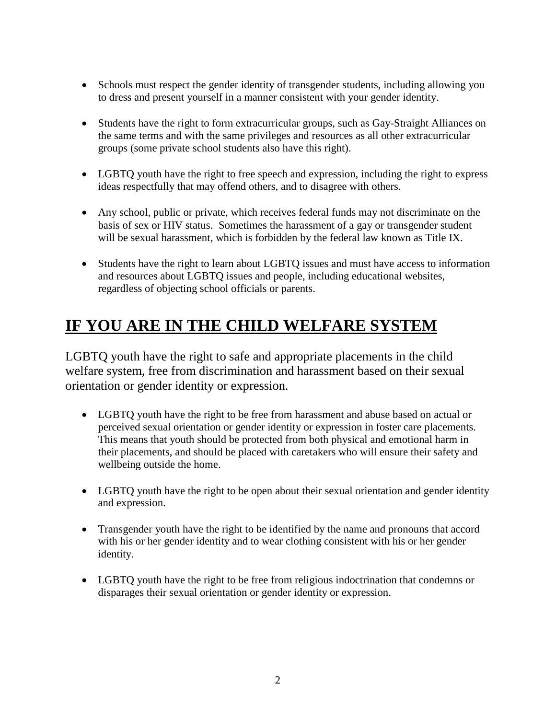- Schools must respect the gender identity of transgender students, including allowing you to dress and present yourself in a manner consistent with your gender identity.
- Students have the right to form extracurricular groups, such as Gay-Straight Alliances on the same terms and with the same privileges and resources as all other extracurricular groups (some private school students also have this right).
- LGBTQ youth have the right to free speech and expression, including the right to express ideas respectfully that may offend others, and to disagree with others.
- Any school, public or private, which receives federal funds may not discriminate on the basis of sex or HIV status. Sometimes the harassment of a gay or transgender student will be sexual harassment, which is forbidden by the federal law known as Title IX.
- Students have the right to learn about LGBTQ issues and must have access to information and resources about LGBTQ issues and people, including educational websites, regardless of objecting school officials or parents.

## **IF YOU ARE IN THE CHILD WELFARE SYSTEM**

LGBTQ youth have the right to safe and appropriate placements in the child welfare system, free from discrimination and harassment based on their sexual orientation or gender identity or expression.

- LGBTQ youth have the right to be free from harassment and abuse based on actual or perceived sexual orientation or gender identity or expression in foster care placements. This means that youth should be protected from both physical and emotional harm in their placements, and should be placed with caretakers who will ensure their safety and wellbeing outside the home.
- LGBTQ youth have the right to be open about their sexual orientation and gender identity and expression.
- Transgender youth have the right to be identified by the name and pronouns that accord with his or her gender identity and to wear clothing consistent with his or her gender identity.
- LGBTQ youth have the right to be free from religious indoctrination that condemns or disparages their sexual orientation or gender identity or expression.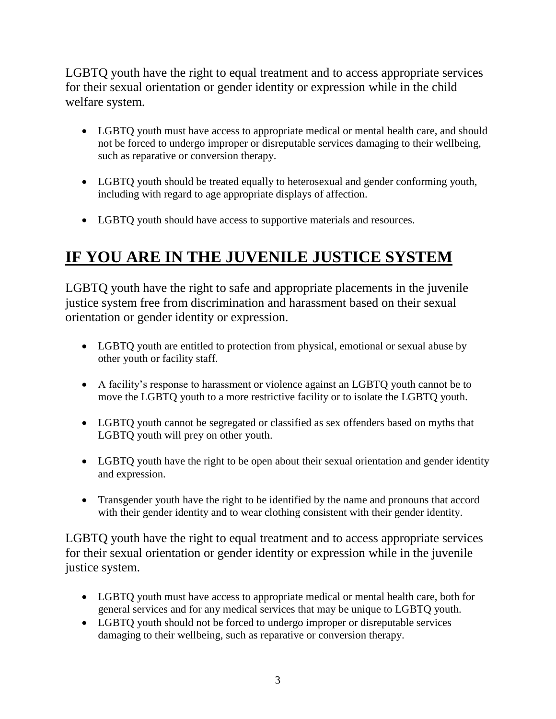LGBTQ youth have the right to equal treatment and to access appropriate services for their sexual orientation or gender identity or expression while in the child welfare system.

- LGBTQ youth must have access to appropriate medical or mental health care, and should not be forced to undergo improper or disreputable services damaging to their wellbeing, such as reparative or conversion therapy.
- LGBTQ youth should be treated equally to heterosexual and gender conforming youth, including with regard to age appropriate displays of affection.
- LGBTQ youth should have access to supportive materials and resources.

## **IF YOU ARE IN THE JUVENILE JUSTICE SYSTEM**

LGBTQ youth have the right to safe and appropriate placements in the juvenile justice system free from discrimination and harassment based on their sexual orientation or gender identity or expression.

- LGBTQ youth are entitled to protection from physical, emotional or sexual abuse by other youth or facility staff.
- A facility's response to harassment or violence against an LGBTQ youth cannot be to move the LGBTQ youth to a more restrictive facility or to isolate the LGBTQ youth.
- LGBTQ youth cannot be segregated or classified as sex offenders based on myths that LGBTQ youth will prey on other youth.
- LGBTQ youth have the right to be open about their sexual orientation and gender identity and expression.
- Transgender youth have the right to be identified by the name and pronouns that accord with their gender identity and to wear clothing consistent with their gender identity.

LGBTQ youth have the right to equal treatment and to access appropriate services for their sexual orientation or gender identity or expression while in the juvenile justice system.

- LGBTQ youth must have access to appropriate medical or mental health care, both for general services and for any medical services that may be unique to LGBTQ youth.
- LGBTO youth should not be forced to undergo improper or disreputable services damaging to their wellbeing, such as reparative or conversion therapy.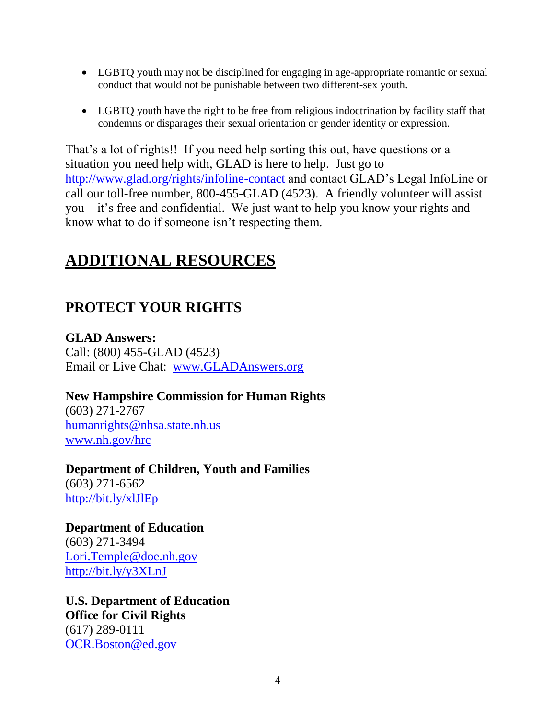- LGBTQ youth may not be disciplined for engaging in age-appropriate romantic or sexual conduct that would not be punishable between two different-sex youth.
- LGBTQ youth have the right to be free from religious indoctrination by facility staff that condemns or disparages their sexual orientation or gender identity or expression.

That's a lot of rights!! If you need help sorting this out, have questions or a situation you need help with, GLAD is here to help. Just go to <http://www.glad.org/rights/infoline-contact> and contact GLAD's Legal InfoLine or call our toll-free number, 800-455-GLAD (4523). A friendly volunteer will assist you—it's free and confidential. We just want to help you know your rights and know what to do if someone isn't respecting them.

### **ADDITIONAL RESOURCES**

### **PROTECT YOUR RIGHTS**

**GLAD Answers:** Call: (800) 455-GLAD (4523) Email or Live Chat: [www.GLADAnswers.org](http://www.gladanswers.org/)

#### **New Hampshire Commission for Human Rights**

(603) 271-2767 [humanrights@nhsa.state.nh.us](mailto:humanrights@nhsa.state.nh.us) [www.nh.gov/hrc](http://www.nh.gov/hrc)

**Department of Children, Youth and Families** (603) 271-6562 <http://bit.ly/xlJlEp>

**Department of Education** (603) 271-3494 [Lori.Temple@doe.nh.gov](mailto:Lori.Temple@doe.nh.gov) <http://bit.ly/y3XLnJ>

**U.S. Department of Education Office for Civil Rights** (617) 289-0111 [OCR.Boston@ed.gov](mailto:OCR.Boston@ed.gov)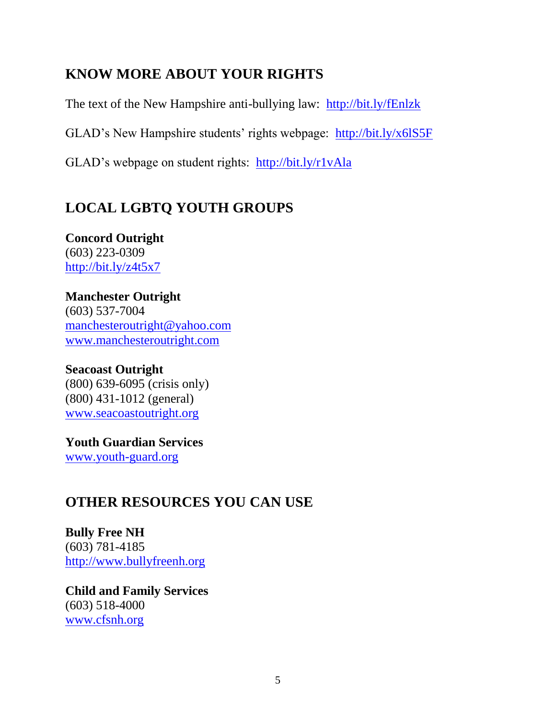### **KNOW MORE ABOUT YOUR RIGHTS**

The text of the New Hampshire anti-bullying law: <http://bit.ly/fEnlzk>

GLAD's New Hampshire students' rights webpage: <http://bit.ly/x6lS5F>

GLAD's webpage on student rights: <http://bit.ly/r1vAla>

### **LOCAL LGBTQ YOUTH GROUPS**

#### **Concord Outright** (603) 223-0309 <http://bit.ly/z4t5x7>

**Manchester Outright** (603) 537-7004 [manchesteroutright@yahoo.com](mailto:manchesteroutright@yahoo.com) [www.manchesteroutright.com](http://www.manchesteroutright.com/)

#### **Seacoast Outright** (800) 639-6095 (crisis only) (800) 431-1012 (general) [www.seacoastoutright.org](http://www.seacoastoutright.org/)

**Youth Guardian Services** [www.youth-guard.org](http://www.youth-guard.org/)

### **OTHER RESOURCES YOU CAN USE**

**Bully Free NH** (603) 781-4185 [http://www.bullyfreenh.org](http://www.bullyfreenh.org/)

**Child and Family Services** (603) 518-4000 [www.cfsnh.org](http://www.cfsnh.org/)